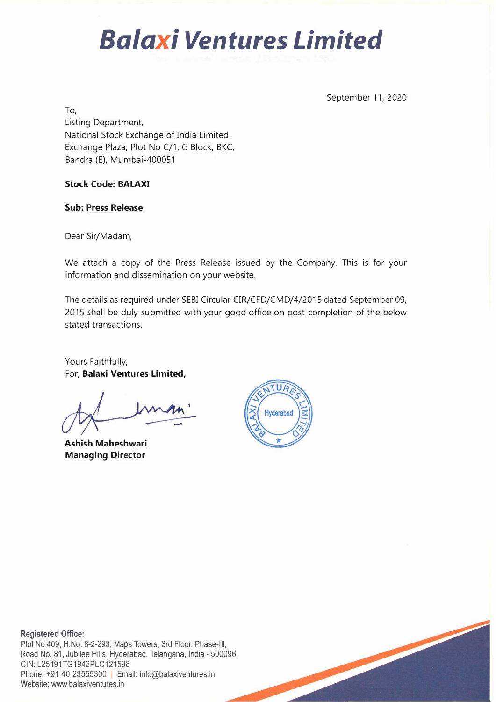# *Balaxi Ventures Limited*

September 11, 2020

To, Listing Department, National Stock Exchange of India Limited. Exchange Plaza, Plot No C/1, G Block, BKC, Bandra (E), Mumbai-400051

### **Stock Code: BALAXI**

### **Sub: Press Release**

Dear Sir/Madam,

We attach a copy of the Press Release issued by the Company. This is for your information and dissemination on your website.

The details as required under SEBI Circular CIR/CFD/CMD/4/2015 dated September 09, 2015 shall be duly submitted with your good office on post completion of the below stated transactions.

Yours Faithfully, For, **Balaxi Ventures Limited,** 

**Ashish Maheshwari Managing Director** 



**Registered Office:**  Plot No.409, H.No. 8-2-293, Maps Towers, 3rd Floor, Phase-Ill, Road No. 81, Jubilee Hills, Hyderabad, Telangana, India - 500096. CIN: L25191TG1942PLC121598 Phone: +91 40 23555300 | Email: info@balaxiventures.in

Website: www.balaxiventures.in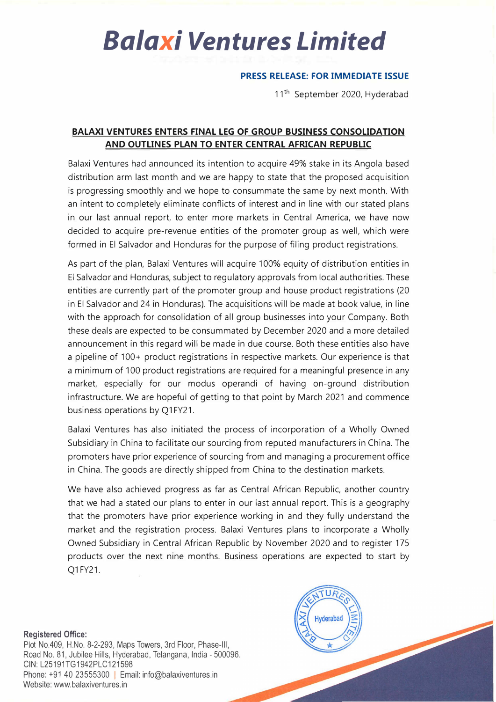## *Balaxi Ventures Limited*

### **PRESS RELEASE: FOR IMMEDIATE ISSUE**

11<sup>th</sup> September 2020, Hyderabad

### **BALAXI VENTURES ENTERS FINAL LEG OF GROUP BUSINESS CONSOLIDATION AND OUTLINES PLAN TO ENTER CENTRAL AFRICAN REPUBLIC**

Balaxi Ventures had announced its intention to acquire 49% stake in its Angola based distribution arm last month and we are happy to state that the proposed acquisition is progressing smoothly and we hope to consummate the same by next month. With an intent to completely eliminate conflicts of interest and in line with our stated plans in our last annual report, to enter more markets in Central America, we have now decided to acquire pre-revenue entities of the promoter group as well, which were formed in El Salvador and Honduras for the purpose of filing product registrations.

As part of the plan, Balaxi Ventures will acquire 100% equity of distribution entities in El Salvador and Honduras, subject to regulatory approvals from local authorities. These entities are currently part of the promoter group and house product registrations (20 in El Salvador and 24 in Honduras). The acquisitions will be made at book value, in line with the approach for consolidation of all group businesses into your Company. Both these deals are expected to be consummated by December 2020 and a more detailed announcement in this regard will be made in due course. Both these entities also have a pipeline of 100+ product registrations in respective markets. Our experience is that a minimum of 100 product registrations are required for a meaningful presence in any market, especially for our modus operandi of having on-ground distribution infrastructure. We are hopeful of getting to that point by March 2021 and commence business operations by Q1FY21.

Balaxi Ventures has also initiated the process of incorporation of a Wholly Owned Subsidiary in China to facilitate our sourcing from reputed manufacturers in China. The promoters have prior experience of sourcing from and managing a procurement office in China. The goods are directly shipped from China to the destination markets.

We have also achieved progress as far as Central African Republic, another country that we had a stated our plans to enter in our last annual report. This is a geography that the promoters have prior experience working in and they fully understand the market and the registration process. Balaxi Ventures plans to incorporate a Wholly Owned Subsidiary in Central African Republic by November 2020 and to register 175 products over the next nine months. Business operations are expected to start by Q1 FY21.

**Registered Office:**  Plot No.409, H.No. 8-2-293, Maps Towers, 3rd Floor, Phase-Ill, Road No. 81, Jubilee Hills, Hyderabad, Telangana, India - 500096. CIN: L25191TG1942PLC121598 Phone: +91 40 23555300 | Email: info@balaxiventures.in Website: www.balaxiventures.in